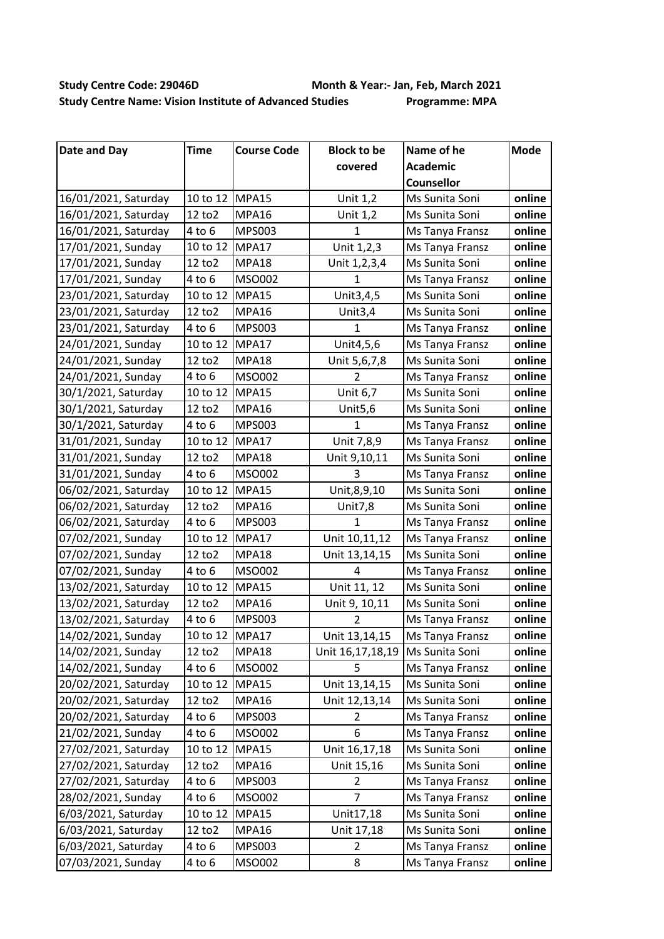## **Study Centre Code: 29046D Month & Year:- Jan, Feb, March 2021 Study Centre Name: Vision Institute of Advanced Studies Programme: MPA**

| <b>Date and Day</b>  | Time           | <b>Course Code</b> | <b>Block to be</b>  | Name of he        | <b>Mode</b> |
|----------------------|----------------|--------------------|---------------------|-------------------|-------------|
|                      |                |                    | covered             | Academic          |             |
|                      |                |                    |                     | <b>Counsellor</b> |             |
| 16/01/2021, Saturday | 10 to 12 MPA15 |                    | Unit 1,2            | Ms Sunita Soni    | online      |
| 16/01/2021, Saturday | 12 to 2        | MPA16              | Unit 1,2            | Ms Sunita Soni    | online      |
| 16/01/2021, Saturday | $4$ to $6$     | <b>MPS003</b>      | $\mathbf{1}$        | Ms Tanya Fransz   | online      |
| 17/01/2021, Sunday   | 10 to 12       | MPA17              | Unit 1,2,3          | Ms Tanya Fransz   | online      |
| 17/01/2021, Sunday   | 12 to 2        | MPA18              | Unit 1,2,3,4        | Ms Sunita Soni    | online      |
| 17/01/2021, Sunday   | $4$ to $6$     | MSO002             | $\mathbf{1}$        | Ms Tanya Fransz   | online      |
| 23/01/2021, Saturday | 10 to 12       | MPA15              | Unit3,4,5           | Ms Sunita Soni    | online      |
| 23/01/2021, Saturday | 12 to 2        | MPA16              | Unit $3,4$          | Ms Sunita Soni    | online      |
| 23/01/2021, Saturday | $4$ to $6$     | <b>MPS003</b>      | $\mathbf{1}$        | Ms Tanya Fransz   | online      |
| 24/01/2021, Sunday   | 10 to 12       | MPA17              | Unit4,5,6           | Ms Tanya Fransz   | online      |
| 24/01/2021, Sunday   | 12 to 2        | MPA18              | Unit 5,6,7,8        | Ms Sunita Soni    | online      |
| 24/01/2021, Sunday   | $4$ to $6$     | MSO002             | $\overline{2}$      | Ms Tanya Fransz   | online      |
| 30/1/2021, Saturday  | 10 to 12       | MPA15              | Unit 6,7            | Ms Sunita Soni    | online      |
| 30/1/2021, Saturday  | 12 to 2        | MPA16              | Unit <sub>5,6</sub> | Ms Sunita Soni    | online      |
| 30/1/2021, Saturday  | $4$ to $6$     | <b>MPS003</b>      | $\mathbf{1}$        | Ms Tanya Fransz   | online      |
| 31/01/2021, Sunday   | 10 to 12       | MPA17              | Unit 7,8,9          | Ms Tanya Fransz   | online      |
| 31/01/2021, Sunday   | 12 to 2        | MPA18              | Unit 9,10,11        | Ms Sunita Soni    | online      |
| 31/01/2021, Sunday   | $4$ to $6$     | MSO002             | 3                   | Ms Tanya Fransz   | online      |
| 06/02/2021, Saturday | 10 to 12       | MPA15              | Unit, 8, 9, 10      | Ms Sunita Soni    | online      |
| 06/02/2021, Saturday | 12 to 2        | MPA16              | <b>Unit7,8</b>      | Ms Sunita Soni    | online      |
| 06/02/2021, Saturday | $4$ to $6$     | <b>MPS003</b>      | $\mathbf{1}$        | Ms Tanya Fransz   | online      |
| 07/02/2021, Sunday   | 10 to 12       | MPA17              | Unit 10,11,12       | Ms Tanya Fransz   | online      |
| 07/02/2021, Sunday   | 12 to 2        | MPA18              | Unit 13,14,15       | Ms Sunita Soni    | online      |
| 07/02/2021, Sunday   | $4$ to $6$     | MSO002             | $\overline{4}$      | Ms Tanya Fransz   | online      |
| 13/02/2021, Saturday | 10 to 12       | MPA15              | Unit 11, 12         | Ms Sunita Soni    | online      |
| 13/02/2021, Saturday | 12 to 2        | MPA16              | Unit 9, 10,11       | Ms Sunita Soni    | online      |
| 13/02/2021, Saturday | $4$ to $6$     | MPS003             | $\overline{2}$      | Ms Tanya Fransz   | online      |
| 14/02/2021, Sunday   | 10 to 12 MPA17 |                    | Unit 13,14,15       | Ms Tanya Fransz   | online      |
| 14/02/2021, Sunday   | 12 to 2        | MPA18              | Unit 16,17,18,19    | Ms Sunita Soni    | online      |
| 14/02/2021, Sunday   | $4$ to $6$     | MSO002             | 5                   | Ms Tanya Fransz   | online      |
| 20/02/2021, Saturday | 10 to 12       | MPA15              | Unit 13,14,15       | Ms Sunita Soni    | online      |
| 20/02/2021, Saturday | 12 to 2        | MPA16              | Unit 12,13,14       | Ms Sunita Soni    | online      |
| 20/02/2021, Saturday | $4$ to $6$     | <b>MPS003</b>      | 2                   | Ms Tanya Fransz   | online      |
| 21/02/2021, Sunday   | $4$ to $6$     | MSO002             | 6                   | Ms Tanya Fransz   | online      |
| 27/02/2021, Saturday | 10 to 12       | MPA15              | Unit 16,17,18       | Ms Sunita Soni    | online      |
| 27/02/2021, Saturday | 12 to 2        | MPA16              | Unit 15,16          | Ms Sunita Soni    | online      |
| 27/02/2021, Saturday | $4$ to $6$     | <b>MPS003</b>      | 2                   | Ms Tanya Fransz   | online      |
| 28/02/2021, Sunday   | 4 to 6         | MSO002             | 7                   | Ms Tanya Fransz   | online      |
| 6/03/2021, Saturday  | 10 to 12       | MPA15              | Unit17,18           | Ms Sunita Soni    | online      |
| 6/03/2021, Saturday  | 12 to 2        | MPA16              | Unit 17,18          | Ms Sunita Soni    | online      |
| 6/03/2021, Saturday  | $4$ to $6$     | <b>MPS003</b>      | $\overline{2}$      | Ms Tanya Fransz   | online      |
| 07/03/2021, Sunday   | 4 to 6         | MSO002             | 8                   | Ms Tanya Fransz   | online      |